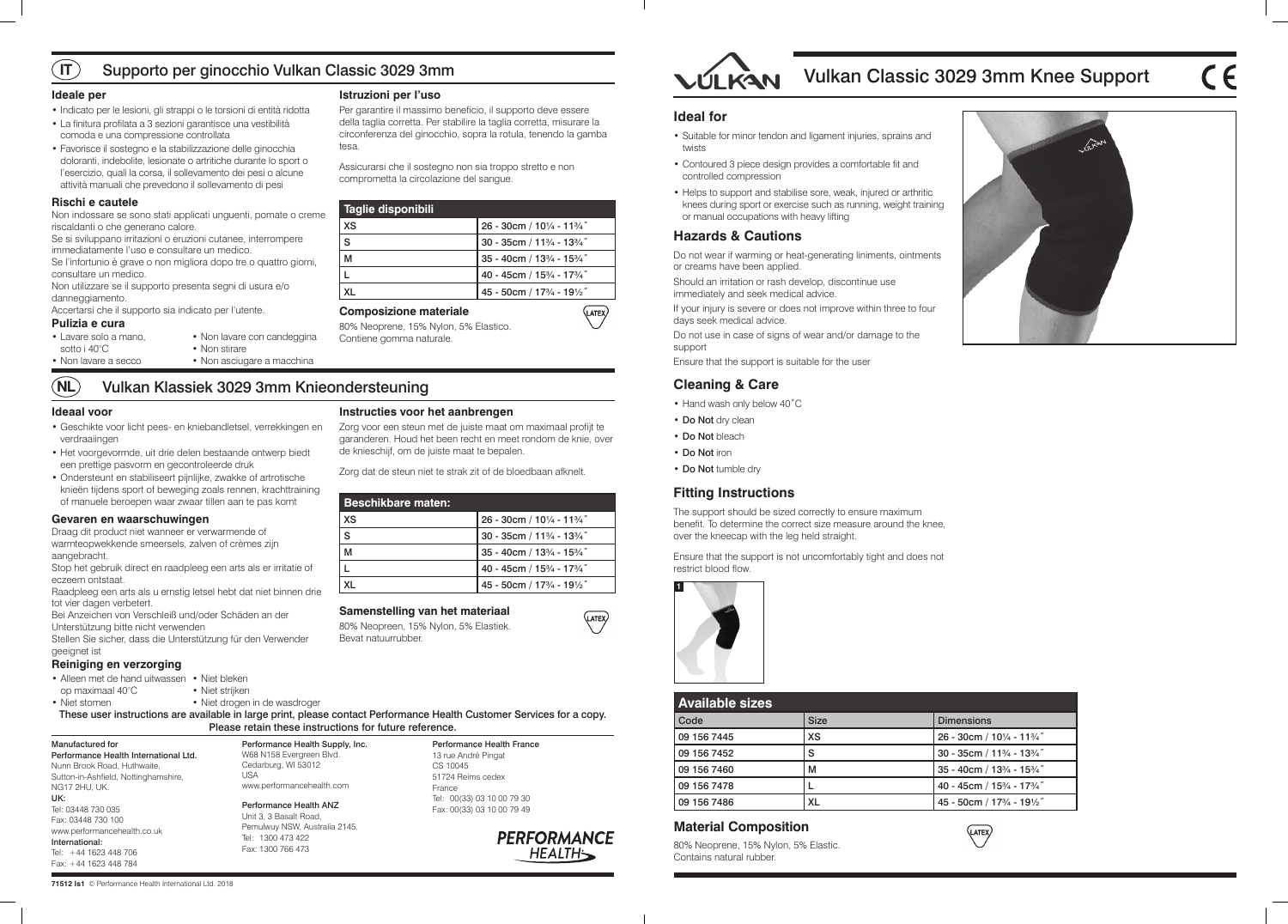# Vulkan Classic 3029 3mm Knee Support







**71512 Is1** © Performance Health International Ltd. 2018

**Ingen** 

| <b>Available sizes</b> |             |                            |  |
|------------------------|-------------|----------------------------|--|
| Code                   | <b>Size</b> | <b>Dimensions</b>          |  |
| 09 156 7445            | <b>XS</b>   | 26 - 30cm / 101/4 - 113/4" |  |
| 09 156 7452            | S           | 30 - 35cm / 11% - 13%"     |  |
| 09 156 7460            | м           | 35 - 40cm / 133/4 - 153/4" |  |
| 09 156 7478            |             | 40 - 45cm / 153/4 - 173/4" |  |
| 09 156 7486            | XL          | 45 - 50cm / 173/4 - 191/2" |  |

# **Material Composition**

80% Neoprene, 15% Nylon, 5% Elastic. Contains natural rubber.



These user instructions are available in large print, please contact Performance Health Customer Services for a copy. Please retain these instructions for future reference.

Manufactured for Performance Health International Ltd. Nunn Brook Road, Huthwaite, Sutton-in-Ashfield, Nottinghamshire, NG17 2HU, UK. UK: Tel: 03448 730 035 Fax: 03448 730 100 www.performancehealth.co.uk

International: Tel: +44 1623 448 706 Fax: +44 1623 448 784

Performance Health Supply, Inc. W68 N158 Evergreen Blvd. Cedarburg, WI 53012 USA www.performancehealth.com

Performance Health ANZ Unit 3, 3 Basalt Road, Pemulwuy NSW, Australia 2145. Tel: 1300 473 422 Fax: 1300 766 473

Performance Health France 13 rue André Pingat CS 10045 51724 Reims cedex France Tel: 00(33) 03 10 00 79 30

Fax: 00(33) 03 10 00 79 49





# **Ideal for**

- Suitable for minor tendon and ligament injuries, sprains and twists
- Contoured 3 piece design provides a comfortable fit and controlled compression
- Helps to support and stabilise sore, weak, injured or arthritic knees during sport or exercise such as running, weight training or manual occupations with heavy lifting

# **Hazards & Cautions**

Do not wear if warming or heat-generating liniments, ointments or creams have been applied.

Should an irritation or rash develop, discontinue use immediately and seek medical advice.

XS 26 - 30cm / 10¼ - 11¾˝ S  $30 - 35$ cm  $/ 11\frac{3}{4} - 13\frac{3}{4}$ M  $\vert$  35 - 40cm / 13<sup>3</sup>/<sub>4</sub> - 15<sup>3</sup>/<sub>4</sub><sup> $\vert$ </sup>

> If your injury is severe or does not improve within three to four days seek medical advice.

Do not use in case of signs of wear and/or damage to the support

Ensure that the support is suitable for the user

# **Cleaning & Care**

- Hand wash only below 40˚C
- Do Not dry clean
- Do Not bleach
- Do Not iron
- Do Not tumble dry
- Geschikte voor licht pees- en kniebandletsel, verrekkingen verdraaiingen
- Het voorgevormde, uit drie delen bestaande ontwerp biedt een prettige pasvorm en gecontroleerde druk
- Ondersteunt en stabiliseert pijnlijke, zwakke of artrotische knieën tijdens sport of beweging zoals rennen, krachttraining of manuele beroepen waar zwaar tillen aan te pas komt

# **Fitting Instructions**

The support should be sized correctly to ensure maximum benefit. To determine the correct size measure around the knee, over the kneecap with the leg held straight.

Ensure that the support is not uncomfortably tight and does not restrict blood flow.

### **Ideale per**

- Indicato per le lesioni, gli strappi o le torsioni di entità ridotta
- La finitura profilata a 3 sezioni garantisce una vestibilità comoda e una compressione controllata
- Favorisce il sostegno e la stabilizzazione delle ginocchia doloranti, indebolite, lesionate o artritiche durante lo sport o l'esercizio, quali la corsa, il sollevamento dei pesi o alcune attività manuali che prevedono il sollevamento di pesi

#### $\sqrt{11}$ Supporto per ginocchio Vulkan Classic 3029 3mm

- Alleen met de hand uitwassen Niet bleken
- op maximaal 40°C • Niet strijken
- Niet stomen
- Niet drogen in de wasdroger

### **Rischi e cautele**

Non indossare se sono stati applicati unguenti, pomate o creme riscaldanti o che generano calore.

Se si sviluppano irritazioni o eruzioni cutanee, interrompere immediatamente l'uso e consultare un medico.

Se l'infortunio è grave o non migliora dopo tre o quattro giorni, consultare un medico.

Non utilizzare se il supporto presenta segni di usura e/o danneggiamento.

Accertarsi che il supporto sia indicato per l'utente.

# **Pulizia e cura**

**Istruzioni per l'uso**

Per garantire il massimo beneficio, il supporto deve essere della taglia corretta. Per stabilire la taglia corretta, misurare la circonferenza del ginocchio, sopra la rotula, tenendo la gamba

tesa.

Assicurarsi che il sostegno non sia troppo stretto e non

comprometta la circolazione del sangue.

**Taglie disponibili**

L 40 - 45cm / 15¾ - 17¾˝

(LATEX)

(LATEX)

XL 45 - 50cm / 17¾ - 19½˝

**Composizione materiale**

80% Neoprene, 15% Nylon, 5% Elastico.

maat om maximaal profijt te en meet rondom de knie, over e bepalen.

Contiene gomma naturale.

### **Ideaal voor**

#### **NL** Vulkan Klassiek 3029 3mm Knieondersteuning

## **Gevaren en waarschuwingen**

Draag dit product niet wanneer er verwarmende of warmteopwekkende smeersels, zalven of crèmes zijn aangebracht.

Stop het gebruik direct en raadpleeg een arts als er irritatie of eczeem ontstaat.

Raadpleeg een arts als u ernstig letsel hebt dat niet binnen drie tot vier dagen verbetert.

Bei Anzeichen von Verschleiß und/oder Schäden an der Unterstützung bitte nicht verwenden

Stellen Sie sicher, dass die Unterstützung für den Verwender geeignet ist

## **Reiniging en verzorging**

Zorg dat de steun niet te strak zit of de bloedbaan afknelt.

| Beschikbare maten: |                                                                               |
|--------------------|-------------------------------------------------------------------------------|
| XS                 | 26 - 30cm / 101/4 - 113/4"                                                    |
| S                  | 30 - 35cm / 11 <sup>3</sup> / <sub>4</sub> - 13 <sup>3</sup> / <sub>4</sub> " |
| м                  | 35 - 40cm / 133/4 - 153/4"                                                    |
|                    | 40 - 45cm / 153/4 - 173/4"                                                    |
|                    | 45 - 50cm / 173/4 - 191/2"                                                    |

# **Samenstelling van het materiaal**

80% Neopreen, 15% Nylon, 5% Elastiek. Bevat natuurrubber.

|      | Instructies voor het aanbre                                            |
|------|------------------------------------------------------------------------|
| ı en | Zorg voor een steun met de juiste<br>garanderen. Houd het been recht e |
|      | de knieschijf, om de juiste maat te                                    |

- Lavare solo a mano, • Non lavare con candeggina • Non stirare
- sotto i 40°C • Non lavare a secco
- Non asciugare a macchina